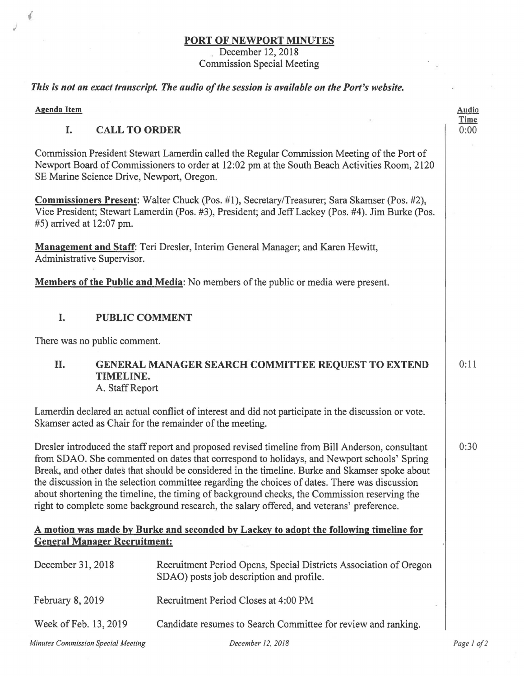#### **PORT OF NEWPORT MINUTES**

December 12, 2018 Commission Special Meeting

#### *This is not an exact transcript. The audio of the session is available on the Port's website.*

**Agenda Item** 

 $\mathbf{r}$ 

#### I. **CALL TO ORDER**

Commission President Stewart Lamerdin called the Regular Commission Meeting of the Port of Newport Board of Commissioners to order at 12:02 pm at the South Beach Activities Room, 2120 SE Marine Science Drive, Newport, Oregon.

**Commissioners Present:** Walter Chuck (Pos. #1), Secretary/Treasurer; Sara Skamser (Pos. #2), Vice President; Stewart Lamerdin (Pos. #3), President; and Jeff Lackey (Pos. #4). Jim Burke (Pos. #5) arrived at 12:07 pm.

**Management and Staff:** Teri Dresler, Interim General Manager; and Karen Hewitt, Administrative Supervisor.

**Members of the Public and Media:** No members of the public or media were present.

#### I. **PUBLIC COMMENT**

There was no public comment.

# II. **GENERAL MANAGER SEARCH COMMITTEE REQUEST TO EXTEND TIME LINE.**

A. Staff Report

Lamerdin declared an actual conflict of interest and did not participate in the discussion or vote. Skamser acted as Chair for the remainder of the meeting.

Dresler introduced the staff report and proposed revised timeline from Bill Anderson, consultant from SDAO. She commented on dates that correspond to holidays, and Newport schools' Spring Break, and other dates that should be considered in the timeline. Burke and Skamser spoke about the discussion in the selection committee regarding the choices of dates. There was discussion about shortening the timeline, the timing of background checks, the Commission reserving the right to complete some background research, the salary offered, and veterans' preference.

### **A motion was made by Burke and seconded by Lackey to adopt the following timeline for General Manager Recruitment:**

| December 31, 2018                  | Recruitment Period Opens, Special Districts Association of Oregon<br>SDAO) posts job description and profile. |  |
|------------------------------------|---------------------------------------------------------------------------------------------------------------|--|
| February 8, 2019                   | Recruitment Period Closes at 4:00 PM                                                                          |  |
| Week of Feb. 13, 2019              | Candidate resumes to Search Committee for review and ranking.                                                 |  |
| Minutes Commission Special Meeting | December 12, 2018                                                                                             |  |

**Audio Time**  0:00

0:11

*Page I o/2*